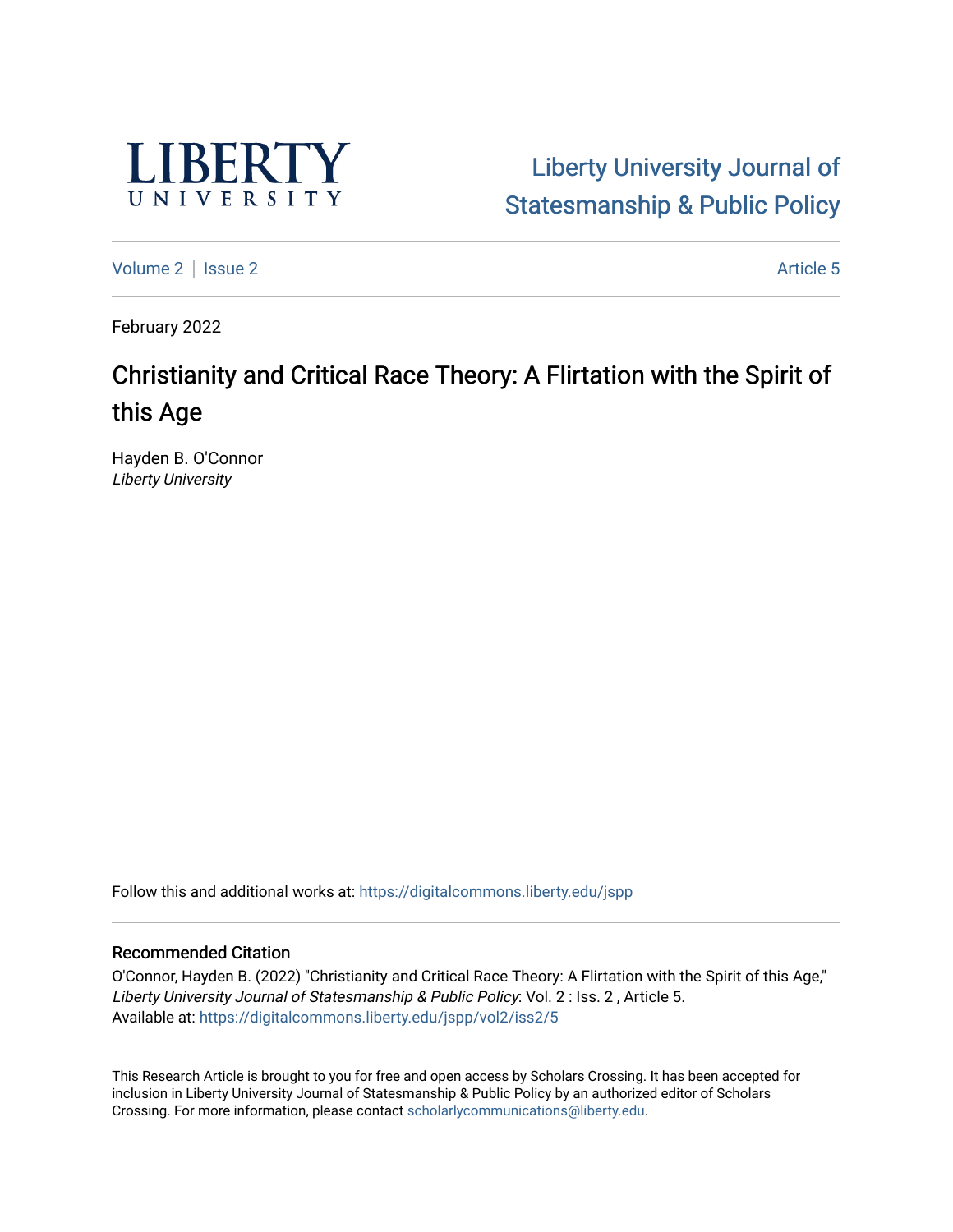

# [Liberty University Journal of](https://digitalcommons.liberty.edu/jspp)  [Statesmanship & Public Policy](https://digitalcommons.liberty.edu/jspp)

[Volume 2](https://digitalcommons.liberty.edu/jspp/vol2) | [Issue 2](https://digitalcommons.liberty.edu/jspp/vol2/iss2) Article 5

February 2022

# Christianity and Critical Race Theory: A Flirtation with the Spirit of this Age

Hayden B. O'Connor Liberty University

Follow this and additional works at: [https://digitalcommons.liberty.edu/jspp](https://digitalcommons.liberty.edu/jspp?utm_source=digitalcommons.liberty.edu%2Fjspp%2Fvol2%2Fiss2%2F5&utm_medium=PDF&utm_campaign=PDFCoverPages) 

# Recommended Citation

O'Connor, Hayden B. (2022) "Christianity and Critical Race Theory: A Flirtation with the Spirit of this Age," Liberty University Journal of Statesmanship & Public Policy: Vol. 2 : Iss. 2 , Article 5. Available at: [https://digitalcommons.liberty.edu/jspp/vol2/iss2/5](https://digitalcommons.liberty.edu/jspp/vol2/iss2/5?utm_source=digitalcommons.liberty.edu%2Fjspp%2Fvol2%2Fiss2%2F5&utm_medium=PDF&utm_campaign=PDFCoverPages) 

This Research Article is brought to you for free and open access by Scholars Crossing. It has been accepted for inclusion in Liberty University Journal of Statesmanship & Public Policy by an authorized editor of Scholars Crossing. For more information, please contact [scholarlycommunications@liberty.edu](mailto:scholarlycommunications@liberty.edu).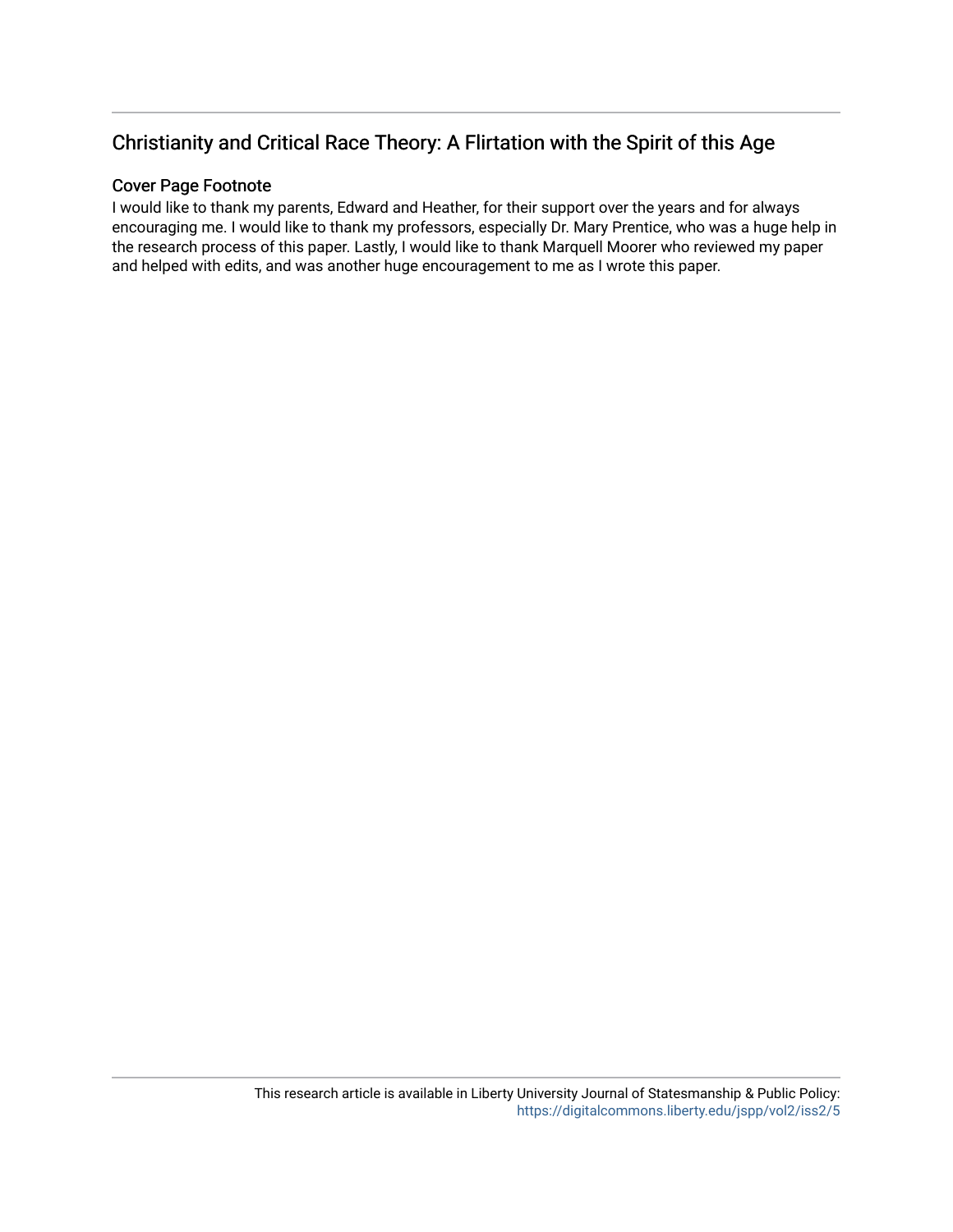# Christianity and Critical Race Theory: A Flirtation with the Spirit of this Age

# Cover Page Footnote

I would like to thank my parents, Edward and Heather, for their support over the years and for always encouraging me. I would like to thank my professors, especially Dr. Mary Prentice, who was a huge help in the research process of this paper. Lastly, I would like to thank Marquell Moorer who reviewed my paper and helped with edits, and was another huge encouragement to me as I wrote this paper.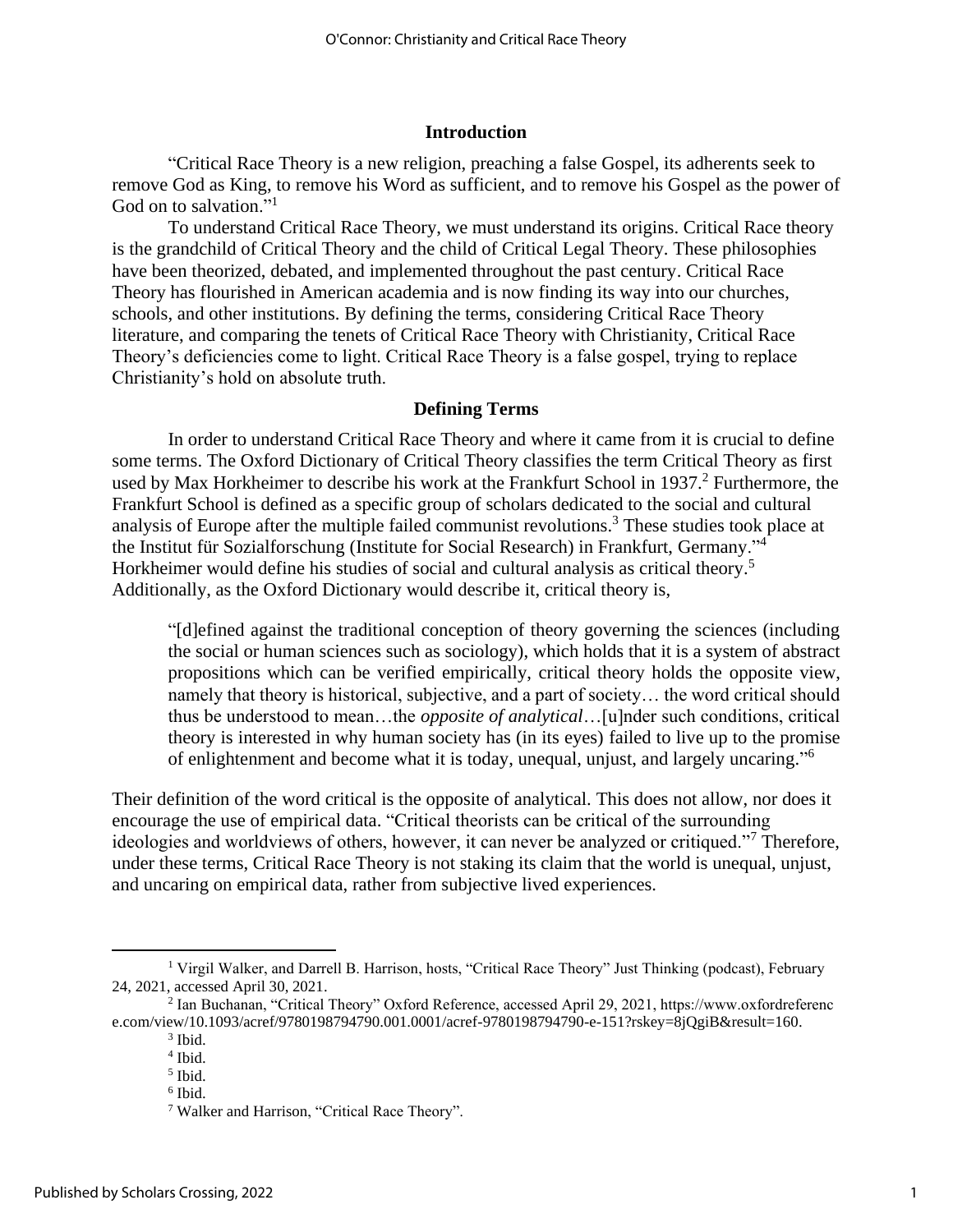#### **Introduction**

"Critical Race Theory is a new religion, preaching a false Gospel, its adherents seek to remove God as King, to remove his Word as sufficient, and to remove his Gospel as the power of God on to salvation."<sup>1</sup>

To understand Critical Race Theory, we must understand its origins. Critical Race theory is the grandchild of Critical Theory and the child of Critical Legal Theory. These philosophies have been theorized, debated, and implemented throughout the past century. Critical Race Theory has flourished in American academia and is now finding its way into our churches, schools, and other institutions. By defining the terms, considering Critical Race Theory literature, and comparing the tenets of Critical Race Theory with Christianity, Critical Race Theory's deficiencies come to light. Critical Race Theory is a false gospel, trying to replace Christianity's hold on absolute truth.

#### **Defining Terms**

In order to understand Critical Race Theory and where it came from it is crucial to define some terms. The Oxford Dictionary of Critical Theory classifies the term Critical Theory as first used by Max Horkheimer to describe his work at the Frankfurt School in 1937.<sup>2</sup> Furthermore, the Frankfurt School is defined as a specific group of scholars dedicated to the social and cultural analysis of Europe after the multiple failed communist revolutions.<sup>3</sup> These studies took place at the Institut für Sozialforschung (Institute for Social Research) in Frankfurt, Germany."<sup>4</sup> Horkheimer would define his studies of social and cultural analysis as critical theory.<sup>5</sup> Additionally, as the Oxford Dictionary would describe it, critical theory is,

"[d]efined against the traditional conception of theory governing the sciences (including the social or human sciences such as sociology), which holds that it is a system of abstract propositions which can be verified empirically, critical theory holds the opposite view, namely that theory is historical, subjective, and a part of society… the word critical should thus be understood to mean…the *opposite of analytical*…[u]nder such conditions, critical theory is interested in why human society has (in its eyes) failed to live up to the promise of enlightenment and become what it is today, unequal, unjust, and largely uncaring."<sup>6</sup>

Their definition of the word critical is the opposite of analytical. This does not allow, nor does it encourage the use of empirical data. "Critical theorists can be critical of the surrounding ideologies and worldviews of others, however, it can never be analyzed or critiqued."<sup>7</sup> Therefore, under these terms, Critical Race Theory is not staking its claim that the world is unequal, unjust, and uncaring on empirical data, rather from subjective lived experiences.

<sup>&</sup>lt;sup>1</sup> Virgil Walker, and Darrell B. Harrison, hosts, "Critical Race Theory" Just Thinking (podcast), February 24, 2021, accessed April 30, 2021.

<sup>2</sup> Ian Buchanan, "Critical Theory" Oxford Reference, accessed April 29, 2021, https://www.oxfordreferenc e.com/view/10.1093/acref/9780198794790.001.0001/acref-9780198794790-e-151?rskey=8jQgiB&result=160.

<sup>3</sup> Ibid.

<sup>4</sup> Ibid.

<sup>5</sup> Ibid. 6 Ibid.

<sup>7</sup> Walker and Harrison, "Critical Race Theory".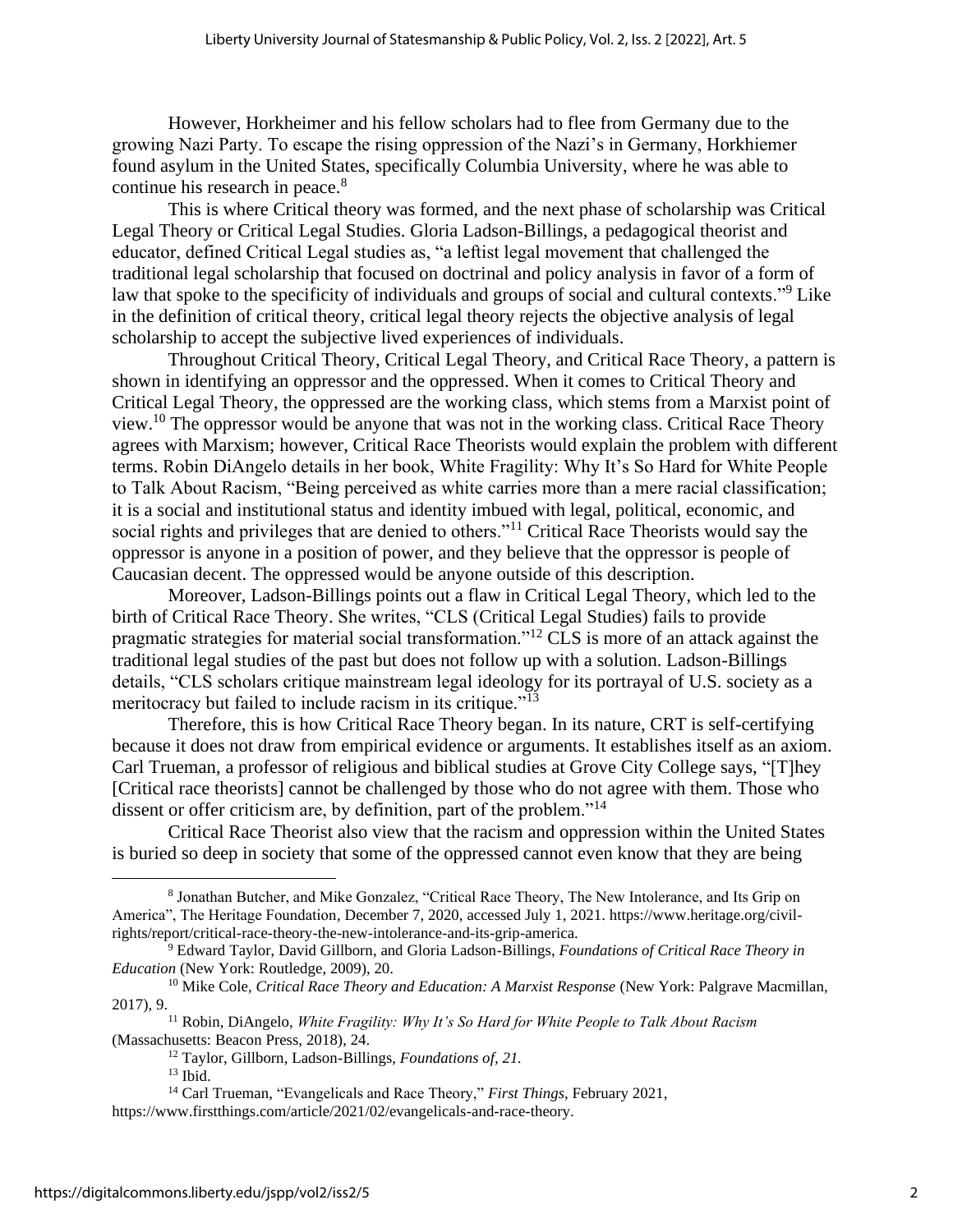However, Horkheimer and his fellow scholars had to flee from Germany due to the growing Nazi Party. To escape the rising oppression of the Nazi's in Germany, Horkhiemer found asylum in the United States, specifically Columbia University, where he was able to continue his research in peace.<sup>8</sup>

This is where Critical theory was formed, and the next phase of scholarship was Critical Legal Theory or Critical Legal Studies. Gloria Ladson-Billings, a pedagogical theorist and educator, defined Critical Legal studies as, "a leftist legal movement that challenged the traditional legal scholarship that focused on doctrinal and policy analysis in favor of a form of law that spoke to the specificity of individuals and groups of social and cultural contexts."<sup>9</sup> Like in the definition of critical theory, critical legal theory rejects the objective analysis of legal scholarship to accept the subjective lived experiences of individuals.

Throughout Critical Theory, Critical Legal Theory, and Critical Race Theory, a pattern is shown in identifying an oppressor and the oppressed. When it comes to Critical Theory and Critical Legal Theory, the oppressed are the working class, which stems from a Marxist point of view.<sup>10</sup> The oppressor would be anyone that was not in the working class. Critical Race Theory agrees with Marxism; however, Critical Race Theorists would explain the problem with different terms. Robin DiAngelo details in her book, White Fragility: Why It's So Hard for White People to Talk About Racism, "Being perceived as white carries more than a mere racial classification; it is a social and institutional status and identity imbued with legal, political, economic, and social rights and privileges that are denied to others."<sup>11</sup> Critical Race Theorists would say the oppressor is anyone in a position of power, and they believe that the oppressor is people of Caucasian decent. The oppressed would be anyone outside of this description.

Moreover, Ladson-Billings points out a flaw in Critical Legal Theory, which led to the birth of Critical Race Theory. She writes, "CLS (Critical Legal Studies) fails to provide pragmatic strategies for material social transformation."<sup>12</sup> CLS is more of an attack against the traditional legal studies of the past but does not follow up with a solution. Ladson-Billings details, "CLS scholars critique mainstream legal ideology for its portrayal of U.S. society as a meritocracy but failed to include racism in its critique."<sup>13</sup>

Therefore, this is how Critical Race Theory began. In its nature, CRT is self-certifying because it does not draw from empirical evidence or arguments. It establishes itself as an axiom. Carl Trueman, a professor of religious and biblical studies at Grove City College says, "[T]hey [Critical race theorists] cannot be challenged by those who do not agree with them. Those who dissent or offer criticism are, by definition, part of the problem."<sup>14</sup>

Critical Race Theorist also view that the racism and oppression within the United States is buried so deep in society that some of the oppressed cannot even know that they are being

<sup>8</sup> Jonathan Butcher, and Mike Gonzalez, "Critical Race Theory, The New Intolerance, and Its Grip on America", The Heritage Foundation*,* December 7, 2020, accessed July 1, 2021. https://www.heritage.org/civilrights/report/critical-race-theory-the-new-intolerance-and-its-grip-america.

<sup>9</sup> Edward Taylor, David Gillborn, and Gloria Ladson-Billings, *Foundations of Critical Race Theory in Education* (New York: Routledge, 2009), 20.

<sup>10</sup> Mike Cole, *Critical Race Theory and Education: A Marxist Response* (New York: Palgrave Macmillan, 2017), 9.

<sup>11</sup> Robin, DiAngelo, *White Fragility: Why It's So Hard for White People to Talk About Racism*  (Massachusetts: Beacon Press, 2018), 24.

<sup>12</sup> Taylor, Gillborn, Ladson-Billings, *Foundations of, 21.*

 $13$  Ibid.

<sup>14</sup> Carl Trueman, "Evangelicals and Race Theory," *First Things*, February 2021, https://www.firstthings.com/article/2021/02/evangelicals-and-race-theory.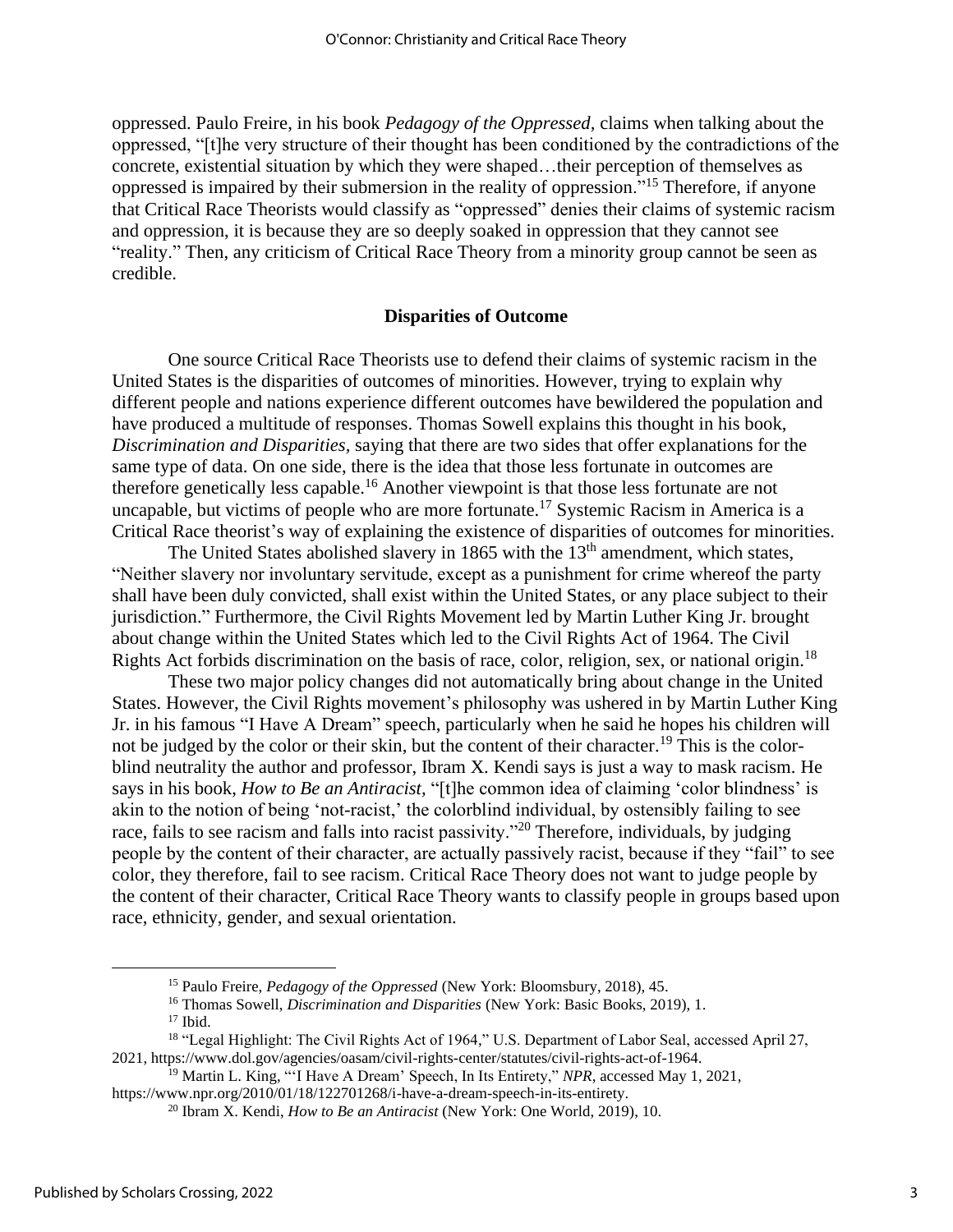oppressed. Paulo Freire, in his book *Pedagogy of the Oppressed,* claims when talking about the oppressed, "[t]he very structure of their thought has been conditioned by the contradictions of the concrete, existential situation by which they were shaped…their perception of themselves as oppressed is impaired by their submersion in the reality of oppression."<sup>15</sup> Therefore, if anyone that Critical Race Theorists would classify as "oppressed" denies their claims of systemic racism and oppression, it is because they are so deeply soaked in oppression that they cannot see "reality." Then, any criticism of Critical Race Theory from a minority group cannot be seen as credible.

#### **Disparities of Outcome**

One source Critical Race Theorists use to defend their claims of systemic racism in the United States is the disparities of outcomes of minorities. However, trying to explain why different people and nations experience different outcomes have bewildered the population and have produced a multitude of responses. Thomas Sowell explains this thought in his book, *Discrimination and Disparities,* saying that there are two sides that offer explanations for the same type of data. On one side, there is the idea that those less fortunate in outcomes are therefore genetically less capable.<sup>16</sup> Another viewpoint is that those less fortunate are not uncapable, but victims of people who are more fortunate.<sup>17</sup> Systemic Racism in America is a Critical Race theorist's way of explaining the existence of disparities of outcomes for minorities.

The United States abolished slavery in 1865 with the 13<sup>th</sup> amendment, which states, "Neither slavery nor involuntary servitude, except as a punishment for crime whereof the party shall have been duly convicted, shall exist within the United States, or any place subject to their jurisdiction." Furthermore, the Civil Rights Movement led by Martin Luther King Jr. brought about change within the United States which led to the Civil Rights Act of 1964. The Civil Rights Act forbids discrimination on the basis of race, color, religion, sex, or national origin.<sup>18</sup>

These two major policy changes did not automatically bring about change in the United States. However, the Civil Rights movement's philosophy was ushered in by Martin Luther King Jr. in his famous "I Have A Dream" speech, particularly when he said he hopes his children will not be judged by the color or their skin, but the content of their character.<sup>19</sup> This is the colorblind neutrality the author and professor, Ibram X. Kendi says is just a way to mask racism. He says in his book, *How to Be an Antiracist,* "[t]he common idea of claiming 'color blindness' is akin to the notion of being 'not-racist,' the colorblind individual, by ostensibly failing to see race, fails to see racism and falls into racist passivity."<sup>20</sup> Therefore, individuals, by judging people by the content of their character, are actually passively racist, because if they "fail" to see color, they therefore, fail to see racism. Critical Race Theory does not want to judge people by the content of their character, Critical Race Theory wants to classify people in groups based upon race, ethnicity, gender, and sexual orientation.

<sup>15</sup> Paulo Freire, *Pedagogy of the Oppressed* (New York: Bloomsbury, 2018), 45.

<sup>16</sup> Thomas Sowell, *Discrimination and Disparities* (New York: Basic Books, 2019), 1. <sup>17</sup> Ibid.

<sup>&</sup>lt;sup>18</sup> "Legal Highlight: The Civil Rights Act of 1964," U.S. Department of Labor Seal, accessed April 27, 2021, https://www.dol.gov/agencies/oasam/civil-rights-center/statutes/civil-rights-act-of-1964.

<sup>19</sup> Martin L. King, "'I Have A Dream' Speech, In Its Entirety," *NPR*, accessed May 1, 2021,

https://www.npr.org/2010/01/18/122701268/i-have-a-dream-speech-in-its-entirety. <sup>20</sup> Ibram X. Kendi, *How to Be an Antiracist* (New York: One World, 2019), 10.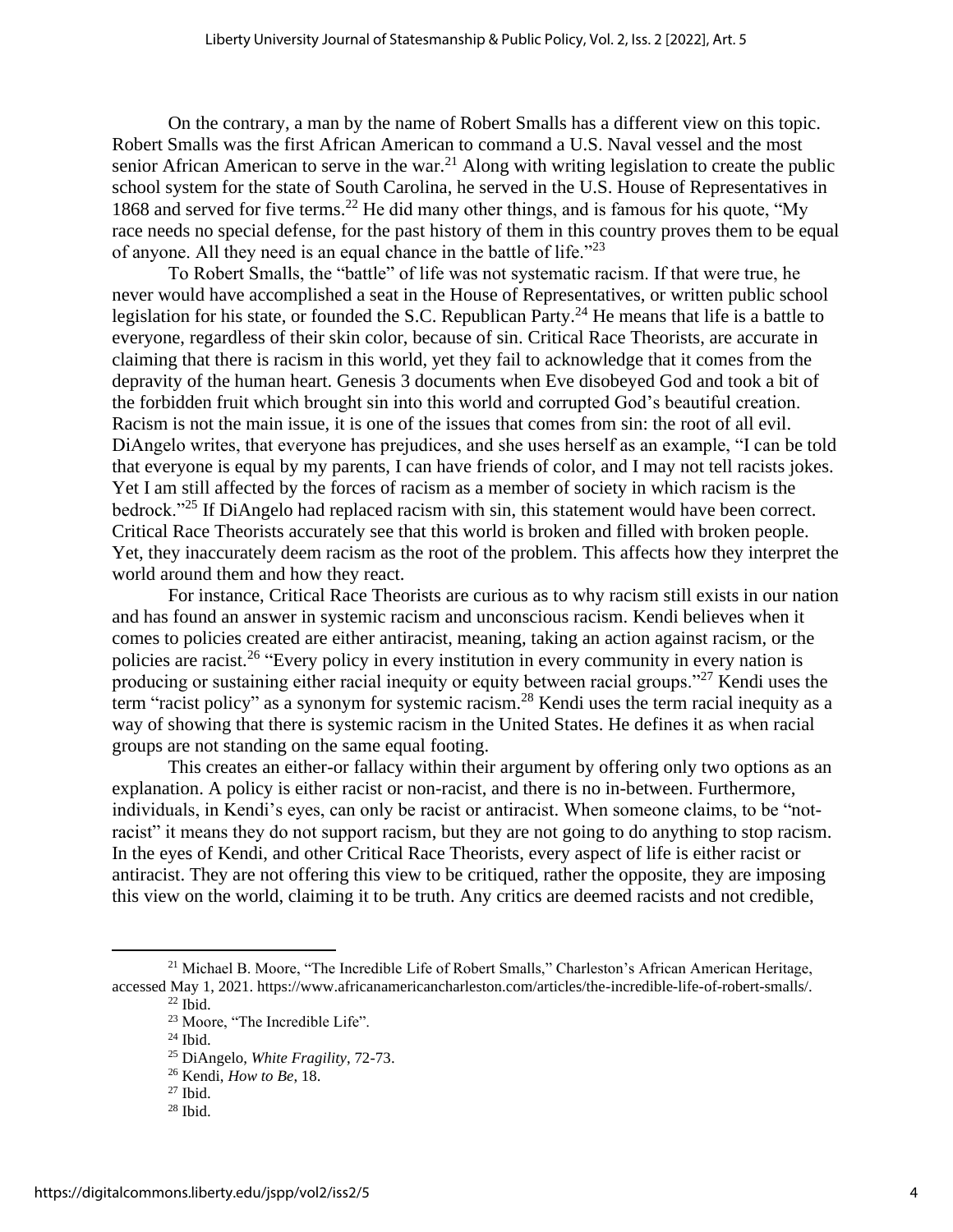On the contrary, a man by the name of Robert Smalls has a different view on this topic. Robert Smalls was the first African American to command a U.S. Naval vessel and the most senior African American to serve in the war.<sup>21</sup> Along with writing legislation to create the public school system for the state of South Carolina, he served in the U.S. House of Representatives in 1868 and served for five terms. <sup>22</sup> He did many other things, and is famous for his quote, "My race needs no special defense, for the past history of them in this country proves them to be equal of anyone. All they need is an equal chance in the battle of life."<sup>23</sup>

To Robert Smalls, the "battle" of life was not systematic racism. If that were true, he never would have accomplished a seat in the House of Representatives, or written public school legislation for his state, or founded the S.C. Republican Party.<sup>24</sup> He means that life is a battle to everyone, regardless of their skin color, because of sin. Critical Race Theorists, are accurate in claiming that there is racism in this world, yet they fail to acknowledge that it comes from the depravity of the human heart. Genesis 3 documents when Eve disobeyed God and took a bit of the forbidden fruit which brought sin into this world and corrupted God's beautiful creation. Racism is not the main issue, it is one of the issues that comes from sin: the root of all evil. DiAngelo writes, that everyone has prejudices, and she uses herself as an example, "I can be told that everyone is equal by my parents, I can have friends of color, and I may not tell racists jokes. Yet I am still affected by the forces of racism as a member of society in which racism is the bedrock."<sup>25</sup> If DiAngelo had replaced racism with sin, this statement would have been correct. Critical Race Theorists accurately see that this world is broken and filled with broken people. Yet, they inaccurately deem racism as the root of the problem. This affects how they interpret the world around them and how they react.

For instance, Critical Race Theorists are curious as to why racism still exists in our nation and has found an answer in systemic racism and unconscious racism. Kendi believes when it comes to policies created are either antiracist, meaning, taking an action against racism, or the policies are racist.<sup>26</sup> "Every policy in every institution in every community in every nation is producing or sustaining either racial inequity or equity between racial groups."<sup>27</sup> Kendi uses the term "racist policy" as a synonym for systemic racism.<sup>28</sup> Kendi uses the term racial inequity as a way of showing that there is systemic racism in the United States. He defines it as when racial groups are not standing on the same equal footing.

This creates an either-or fallacy within their argument by offering only two options as an explanation. A policy is either racist or non-racist, and there is no in-between. Furthermore, individuals, in Kendi's eyes, can only be racist or antiracist. When someone claims, to be "notracist" it means they do not support racism, but they are not going to do anything to stop racism. In the eyes of Kendi, and other Critical Race Theorists, every aspect of life is either racist or antiracist. They are not offering this view to be critiqued, rather the opposite, they are imposing this view on the world, claiming it to be truth. Any critics are deemed racists and not credible,

<sup>28</sup> Ibid.

<sup>&</sup>lt;sup>21</sup> Michael B. Moore, "The Incredible Life of Robert Smalls," Charleston's African American Heritage, accessed May 1, 2021. https://www.africanamericancharleston.com/articles/the-incredible-life-of-robert-smalls/.

 $22$  Ibid.

<sup>23</sup> Moore, "The Incredible Life".

<sup>24</sup> Ibid.

<sup>25</sup> DiAngelo, *White Fragility*, 72-73.

<sup>26</sup> Kendi, *How to Be*, 18.

 $27$  Ibid.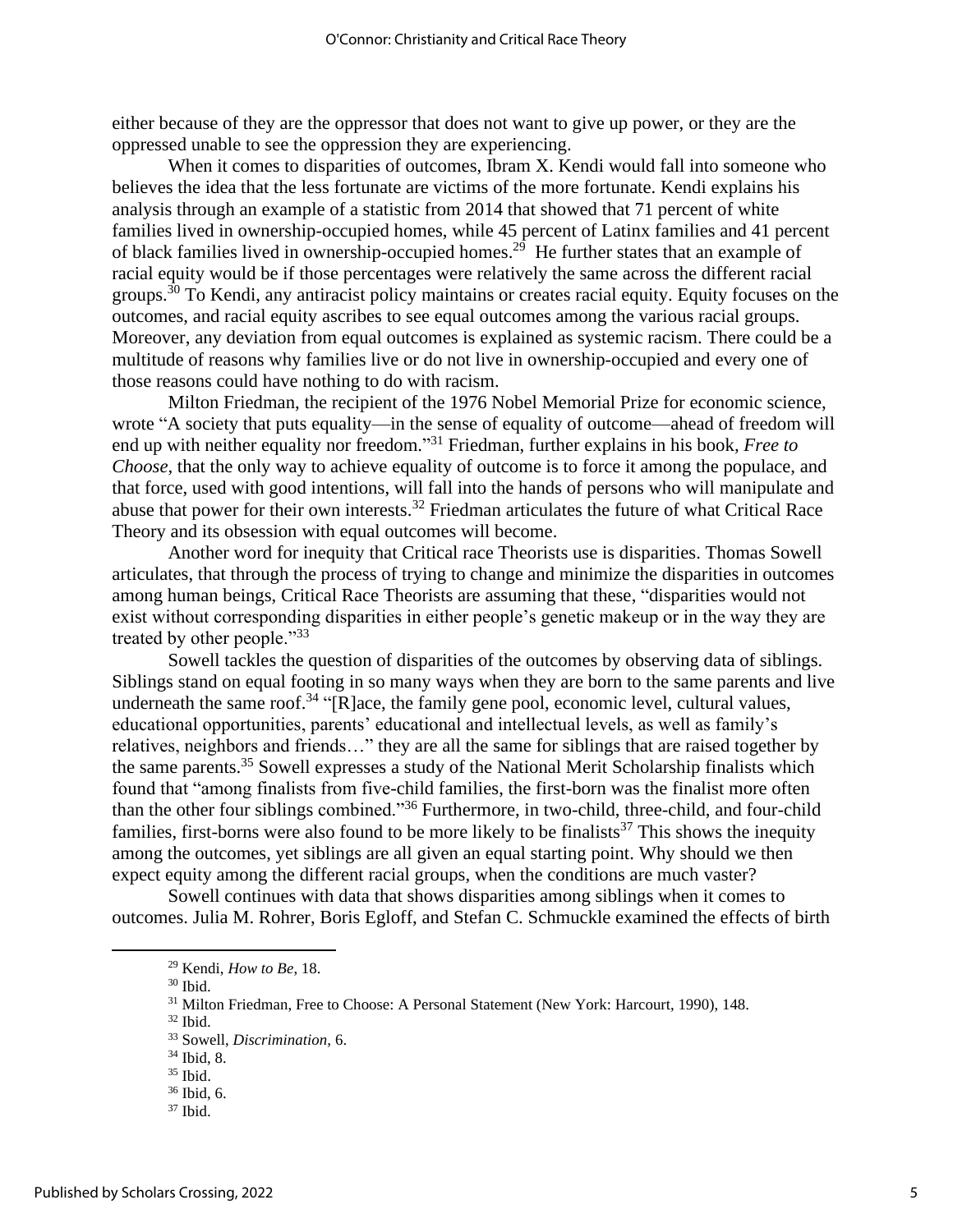either because of they are the oppressor that does not want to give up power, or they are the oppressed unable to see the oppression they are experiencing.

When it comes to disparities of outcomes, Ibram X. Kendi would fall into someone who believes the idea that the less fortunate are victims of the more fortunate. Kendi explains his analysis through an example of a statistic from 2014 that showed that 71 percent of white families lived in ownership-occupied homes, while 45 percent of Latinx families and 41 percent of black families lived in ownership-occupied homes.<sup>29</sup> He further states that an example of racial equity would be if those percentages were relatively the same across the different racial groups.<sup>30</sup> To Kendi, any antiracist policy maintains or creates racial equity. Equity focuses on the outcomes, and racial equity ascribes to see equal outcomes among the various racial groups. Moreover, any deviation from equal outcomes is explained as systemic racism. There could be a multitude of reasons why families live or do not live in ownership-occupied and every one of those reasons could have nothing to do with racism.

Milton Friedman, the recipient of the 1976 Nobel Memorial Prize for economic science, wrote "A society that puts equality—in the sense of equality of outcome—ahead of freedom will end up with neither equality nor freedom." <sup>31</sup> Friedman, further explains in his book*, Free to Choose,* that the only way to achieve equality of outcome is to force it among the populace, and that force, used with good intentions, will fall into the hands of persons who will manipulate and abuse that power for their own interests.<sup>32</sup> Friedman articulates the future of what Critical Race Theory and its obsession with equal outcomes will become.

Another word for inequity that Critical race Theorists use is disparities. Thomas Sowell articulates, that through the process of trying to change and minimize the disparities in outcomes among human beings, Critical Race Theorists are assuming that these, "disparities would not exist without corresponding disparities in either people's genetic makeup or in the way they are treated by other people."<sup>33</sup>

Sowell tackles the question of disparities of the outcomes by observing data of siblings. Siblings stand on equal footing in so many ways when they are born to the same parents and live underneath the same roof.<sup>34</sup> "[R]ace, the family gene pool, economic level, cultural values, educational opportunities, parents' educational and intellectual levels, as well as family's relatives, neighbors and friends…" they are all the same for siblings that are raised together by the same parents.<sup>35</sup> Sowell expresses a study of the National Merit Scholarship finalists which found that "among finalists from five-child families, the first-born was the finalist more often than the other four siblings combined."<sup>36</sup> Furthermore, in two-child, three-child, and four-child families, first-borns were also found to be more likely to be finalists<sup>37</sup> This shows the inequity among the outcomes, yet siblings are all given an equal starting point. Why should we then expect equity among the different racial groups, when the conditions are much vaster?

Sowell continues with data that shows disparities among siblings when it comes to outcomes. Julia M. Rohrer, Boris Egloff, and Stefan C. Schmuckle examined the effects of birth

<sup>30</sup> Ibid.

<sup>29</sup> Kendi, *How to Be*, 18.

<sup>&</sup>lt;sup>31</sup> Milton Friedman, Free to Choose: A Personal Statement (New York: Harcourt, 1990), 148.

<sup>32</sup> Ibid.

<sup>33</sup> Sowell, *Discrimination,* 6.

<sup>34</sup> Ibid, 8.

<sup>35</sup> Ibid.

<sup>36</sup> Ibid, 6.

 $37$  Ibid.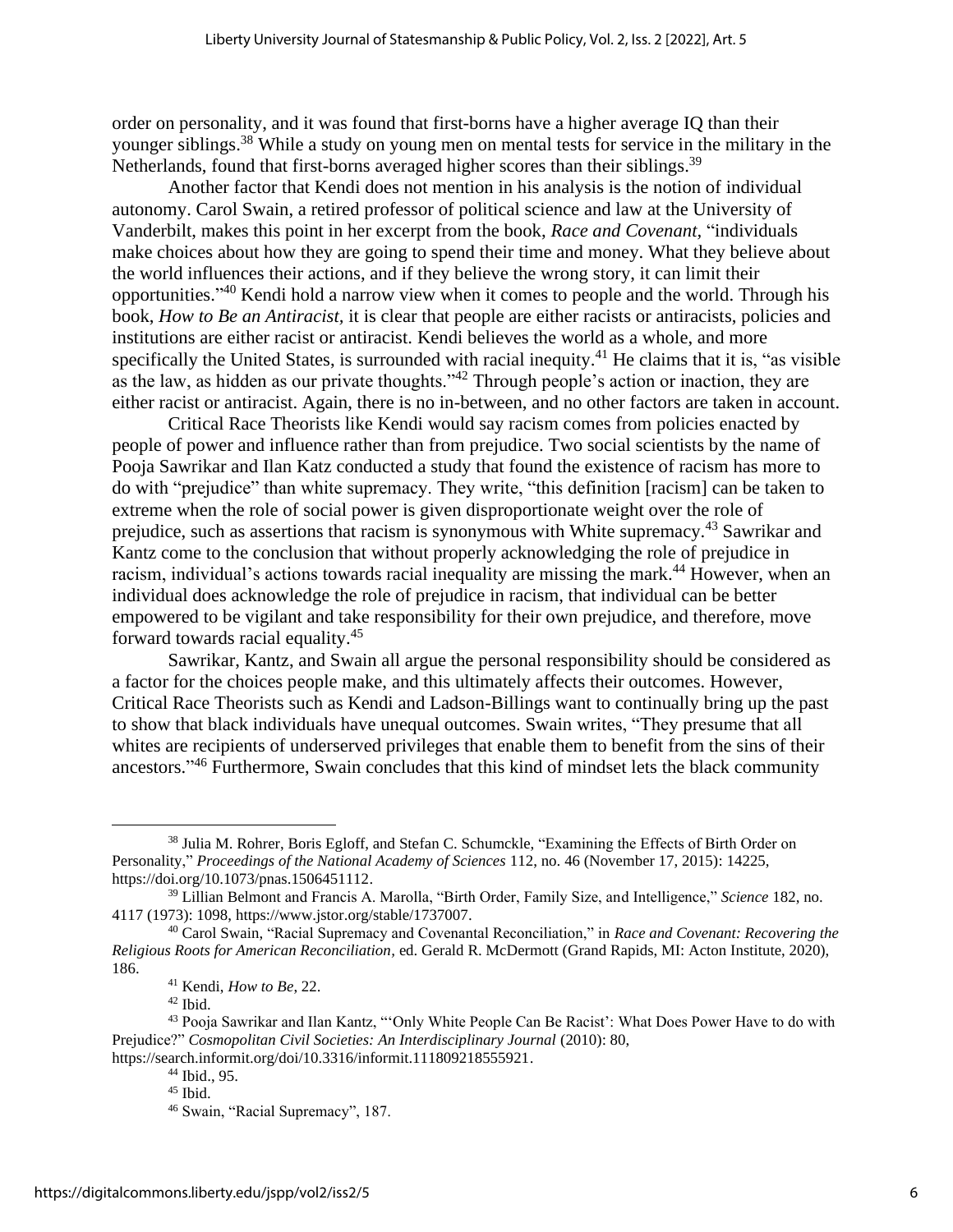order on personality, and it was found that first-borns have a higher average IQ than their younger siblings.<sup>38</sup> While a study on young men on mental tests for service in the military in the Netherlands, found that first-borns averaged higher scores than their siblings.<sup>39</sup>

Another factor that Kendi does not mention in his analysis is the notion of individual autonomy. Carol Swain, a retired professor of political science and law at the University of Vanderbilt, makes this point in her excerpt from the book, *Race and Covenant,* "individuals make choices about how they are going to spend their time and money. What they believe about the world influences their actions, and if they believe the wrong story, it can limit their opportunities."<sup>40</sup> Kendi hold a narrow view when it comes to people and the world. Through his book, *How to Be an Antiracist,* it is clear that people are either racists or antiracists, policies and institutions are either racist or antiracist. Kendi believes the world as a whole, and more specifically the United States, is surrounded with racial inequity.<sup>41</sup> He claims that it is, "as visible as the law, as hidden as our private thoughts."<sup>42</sup> Through people's action or inaction, they are either racist or antiracist. Again, there is no in-between, and no other factors are taken in account.

Critical Race Theorists like Kendi would say racism comes from policies enacted by people of power and influence rather than from prejudice. Two social scientists by the name of Pooja Sawrikar and Ilan Katz conducted a study that found the existence of racism has more to do with "prejudice" than white supremacy. They write, "this definition [racism] can be taken to extreme when the role of social power is given disproportionate weight over the role of prejudice, such as assertions that racism is synonymous with White supremacy.<sup>43</sup> Sawrikar and Kantz come to the conclusion that without properly acknowledging the role of prejudice in racism, individual's actions towards racial inequality are missing the mark.<sup>44</sup> However, when an individual does acknowledge the role of prejudice in racism, that individual can be better empowered to be vigilant and take responsibility for their own prejudice, and therefore, move forward towards racial equality.<sup>45</sup>

Sawrikar, Kantz, and Swain all argue the personal responsibility should be considered as a factor for the choices people make, and this ultimately affects their outcomes. However, Critical Race Theorists such as Kendi and Ladson-Billings want to continually bring up the past to show that black individuals have unequal outcomes. Swain writes, "They presume that all whites are recipients of underserved privileges that enable them to benefit from the sins of their ancestors."<sup>46</sup> Furthermore, Swain concludes that this kind of mindset lets the black community

 $42$  Ibid.

<sup>&</sup>lt;sup>38</sup> Julia M. Rohrer, Boris Egloff, and Stefan C. Schumckle, "Examining the Effects of Birth Order on Personality," *Proceedings of the National Academy of Sciences* 112, no. 46 (November 17, 2015): 14225, https://doi.org/10.1073/pnas.1506451112.

<sup>39</sup> Lillian Belmont and Francis A. Marolla, "Birth Order, Family Size, and Intelligence," *Science* 182, no. 4117 (1973): 1098, https://www.jstor.org/stable/1737007.

<sup>40</sup> Carol Swain, "Racial Supremacy and Covenantal Reconciliation," in *Race and Covenant: Recovering the Religious Roots for American Reconciliation,* ed. Gerald R. McDermott (Grand Rapids, MI: Acton Institute, 2020), 186.

<sup>41</sup> Kendi, *How to Be*, 22.

<sup>43</sup> Pooja Sawrikar and Ilan Kantz, "'Only White People Can Be Racist': What Does Power Have to do with Prejudice?" *Cosmopolitan Civil Societies: An Interdisciplinary Journal (2010): 80,* https://search.informit.org/doi/10.3316/informit.111809218555921.

<sup>44</sup> Ibid., 95.

 $45$  Ibid.

<sup>46</sup> Swain, "Racial Supremacy", 187.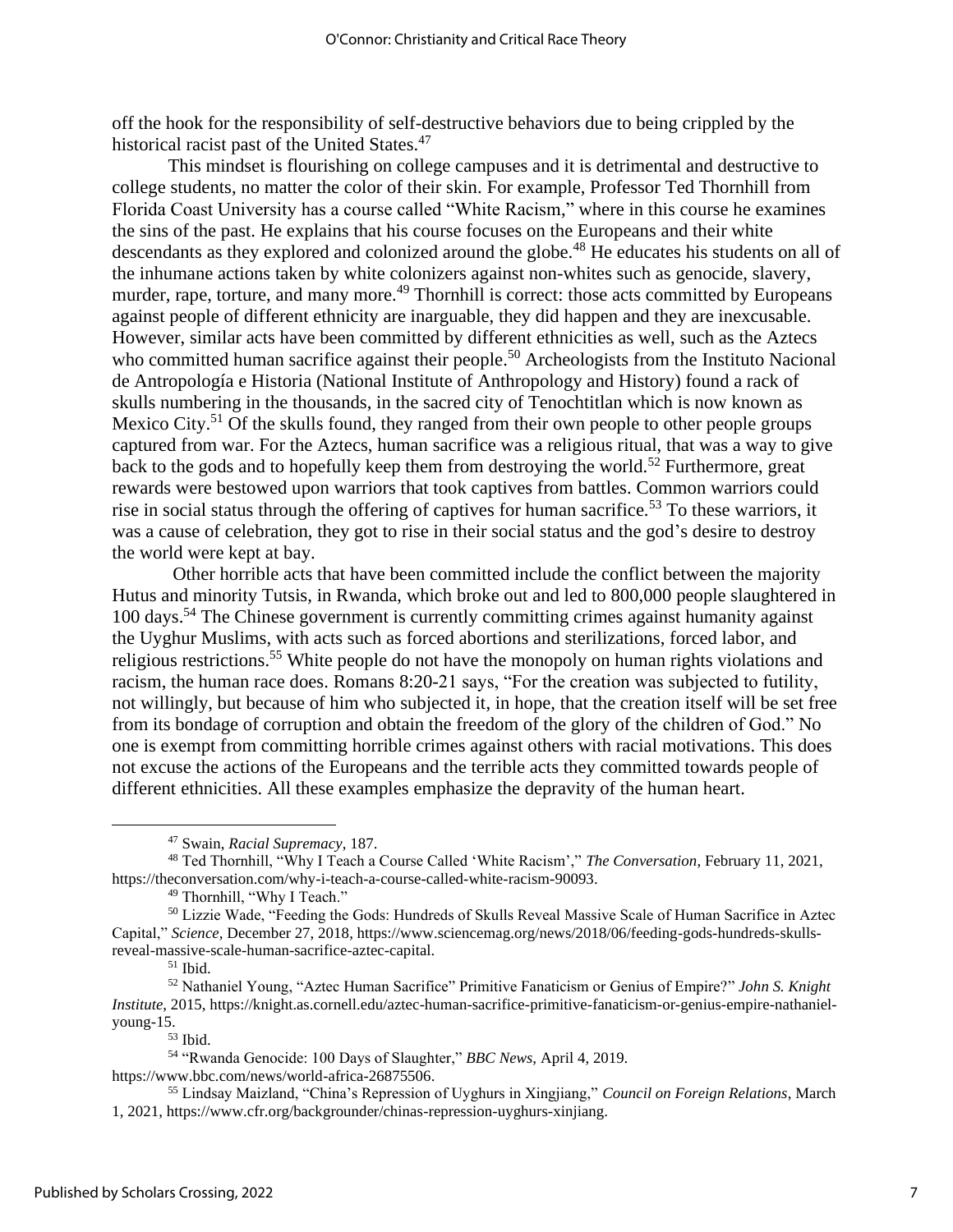off the hook for the responsibility of self-destructive behaviors due to being crippled by the historical racist past of the United States.<sup>47</sup>

This mindset is flourishing on college campuses and it is detrimental and destructive to college students, no matter the color of their skin. For example, Professor Ted Thornhill from Florida Coast University has a course called "White Racism," where in this course he examines the sins of the past. He explains that his course focuses on the Europeans and their white descendants as they explored and colonized around the globe.<sup>48</sup> He educates his students on all of the inhumane actions taken by white colonizers against non-whites such as genocide, slavery, murder, rape, torture, and many more.<sup>49</sup> Thornhill is correct: those acts committed by Europeans against people of different ethnicity are inarguable, they did happen and they are inexcusable. However, similar acts have been committed by different ethnicities as well, such as the Aztecs who committed human sacrifice against their people.<sup>50</sup> Archeologists from the Instituto Nacional de Antropología e Historia (National Institute of Anthropology and History) found a rack of skulls numbering in the thousands, in the sacred city of Tenochtitlan which is now known as Mexico City.<sup>51</sup> Of the skulls found, they ranged from their own people to other people groups captured from war. For the Aztecs, human sacrifice was a religious ritual, that was a way to give back to the gods and to hopefully keep them from destroying the world.<sup>52</sup> Furthermore, great rewards were bestowed upon warriors that took captives from battles. Common warriors could rise in social status through the offering of captives for human sacrifice.<sup>53</sup> To these warriors, it was a cause of celebration, they got to rise in their social status and the god's desire to destroy the world were kept at bay.

Other horrible acts that have been committed include the conflict between the majority Hutus and minority Tutsis, in Rwanda, which broke out and led to 800,000 people slaughtered in 100 days. <sup>54</sup> The Chinese government is currently committing crimes against humanity against the Uyghur Muslims, with acts such as forced abortions and sterilizations, forced labor, and religious restrictions.<sup>55</sup> White people do not have the monopoly on human rights violations and racism, the human race does. Romans 8:20-21 says, "For the creation was subjected to futility, not willingly, but because of him who subjected it, in hope, that the creation itself will be set free from its bondage of corruption and obtain the freedom of the glory of the children of God." No one is exempt from committing horrible crimes against others with racial motivations. This does not excuse the actions of the Europeans and the terrible acts they committed towards people of different ethnicities. All these examples emphasize the depravity of the human heart.

https://www.bbc.com/news/world-africa-26875506.

<sup>47</sup> Swain, *Racial Supremacy*, 187.

<sup>48</sup> Ted Thornhill, "Why I Teach a Course Called 'White Racism'," *The Conversation*, February 11, 2021, https://theconversation.com/why-i-teach-a-course-called-white-racism-90093.

<sup>&</sup>lt;sup>49</sup> Thornhill, "Why I Teach."

<sup>50</sup> Lizzie Wade, "Feeding the Gods: Hundreds of Skulls Reveal Massive Scale of Human Sacrifice in Aztec Capital," *Science,* December 27, 2018, https://www.sciencemag.org/news/2018/06/feeding-gods-hundreds-skullsreveal-massive-scale-human-sacrifice-aztec-capital.

 $^{\rm 51}$  Ibid.

<sup>52</sup> Nathaniel Young, "Aztec Human Sacrifice" Primitive Fanaticism or Genius of Empire?" *John S. Knight Institute*, 2015, https://knight.as.cornell.edu/aztec-human-sacrifice-primitive-fanaticism-or-genius-empire-nathanielyoung-15.

<sup>53</sup> Ibid.

<sup>54</sup> "Rwanda Genocide: 100 Days of Slaughter," *BBC News,* April 4, 2019.

<sup>55</sup> Lindsay Maizland, "China's Repression of Uyghurs in Xingjiang," *Council on Foreign Relations*, March 1, 2021, https://www.cfr.org/backgrounder/chinas-repression-uyghurs-xinjiang.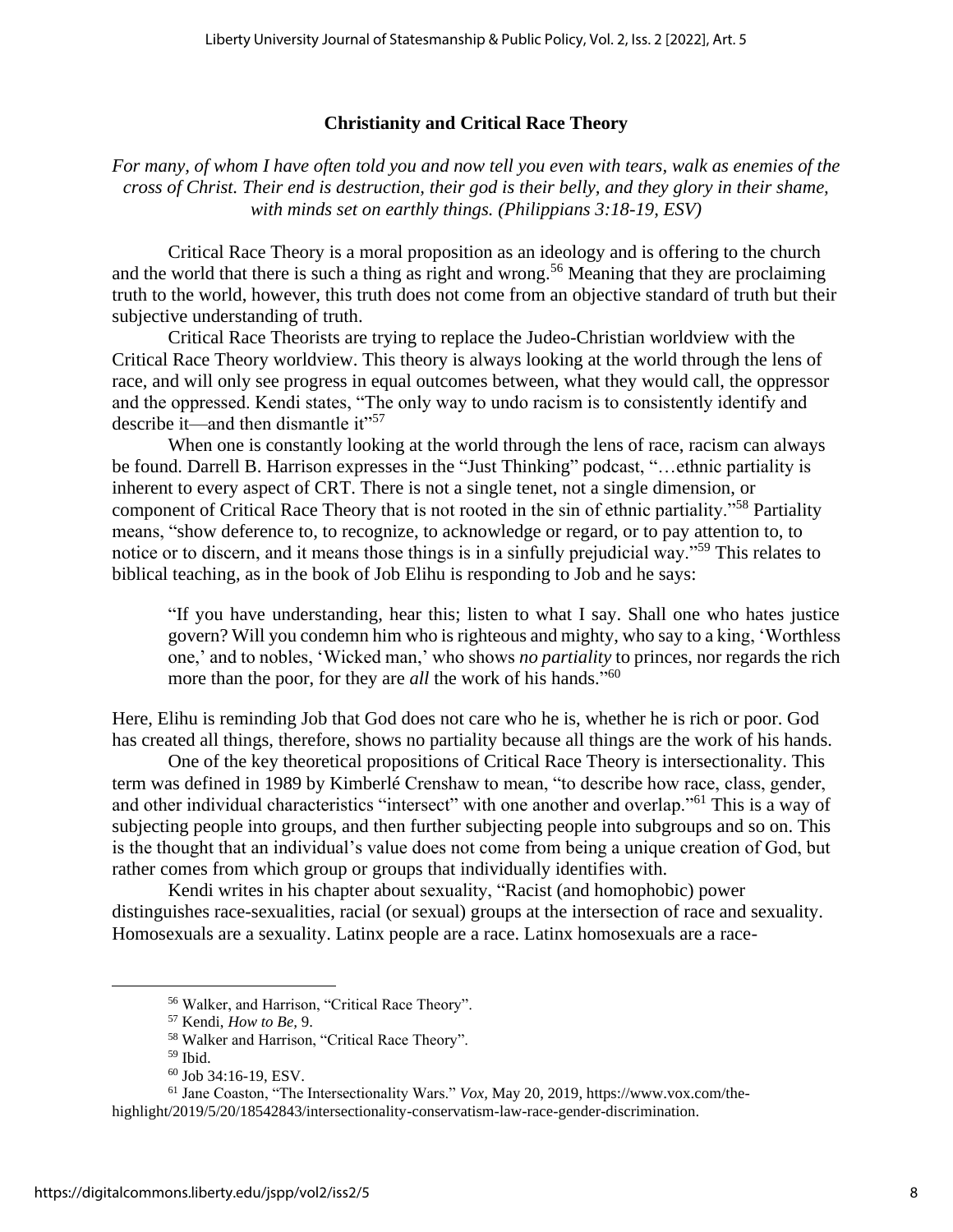# **Christianity and Critical Race Theory**

*For many, of whom I have often told you and now tell you even with tears, walk as enemies of the cross of Christ. Their end is destruction, their god is their belly, and they glory in their shame, with minds set on earthly things. (Philippians 3:18-19, ESV)* 

Critical Race Theory is a moral proposition as an ideology and is offering to the church and the world that there is such a thing as right and wrong.<sup>56</sup> Meaning that they are proclaiming truth to the world, however, this truth does not come from an objective standard of truth but their subjective understanding of truth.

Critical Race Theorists are trying to replace the Judeo-Christian worldview with the Critical Race Theory worldview. This theory is always looking at the world through the lens of race, and will only see progress in equal outcomes between, what they would call, the oppressor and the oppressed. Kendi states, "The only way to undo racism is to consistently identify and describe it—and then dismantle it"<sup>57</sup>

When one is constantly looking at the world through the lens of race, racism can always be found. Darrell B. Harrison expresses in the "Just Thinking" podcast, "…ethnic partiality is inherent to every aspect of CRT. There is not a single tenet, not a single dimension, or component of Critical Race Theory that is not rooted in the sin of ethnic partiality."<sup>58</sup> Partiality means, "show deference to, to recognize, to acknowledge or regard, or to pay attention to, to notice or to discern, and it means those things is in a sinfully prejudicial way."<sup>59</sup> This relates to biblical teaching, as in the book of Job Elihu is responding to Job and he says:

"If you have understanding, hear this; listen to what I say. Shall one who hates justice govern? Will you condemn him who is righteous and mighty, who say to a king, 'Worthless one,' and to nobles, 'Wicked man,' who shows *no partiality* to princes, nor regards the rich more than the poor, for they are *all* the work of his hands."<sup>60</sup>

Here, Elihu is reminding Job that God does not care who he is, whether he is rich or poor. God has created all things, therefore, shows no partiality because all things are the work of his hands.

One of the key theoretical propositions of Critical Race Theory is intersectionality. This term was defined in 1989 by Kimberlé Crenshaw to mean, "to describe how race, class, gender, and other individual characteristics "intersect" with one another and overlap."<sup>61</sup> This is a way of subjecting people into groups, and then further subjecting people into subgroups and so on. This is the thought that an individual's value does not come from being a unique creation of God, but rather comes from which group or groups that individually identifies with.

Kendi writes in his chapter about sexuality, "Racist (and homophobic) power distinguishes race-sexualities, racial (or sexual) groups at the intersection of race and sexuality. Homosexuals are a sexuality. Latinx people are a race. Latinx homosexuals are a race-

<sup>56</sup> Walker, and Harrison, "Critical Race Theory".

<sup>57</sup> Kendi, *How to Be,* 9.

<sup>58</sup> Walker and Harrison, "Critical Race Theory".

 $59$  Ibid.

<sup>60</sup> Job 34:16-19, ESV.

<sup>61</sup> Jane Coaston, "The Intersectionality Wars." *Vox,* May 20, 2019, https://www.vox.com/thehighlight/2019/5/20/18542843/intersectionality-conservatism-law-race-gender-discrimination.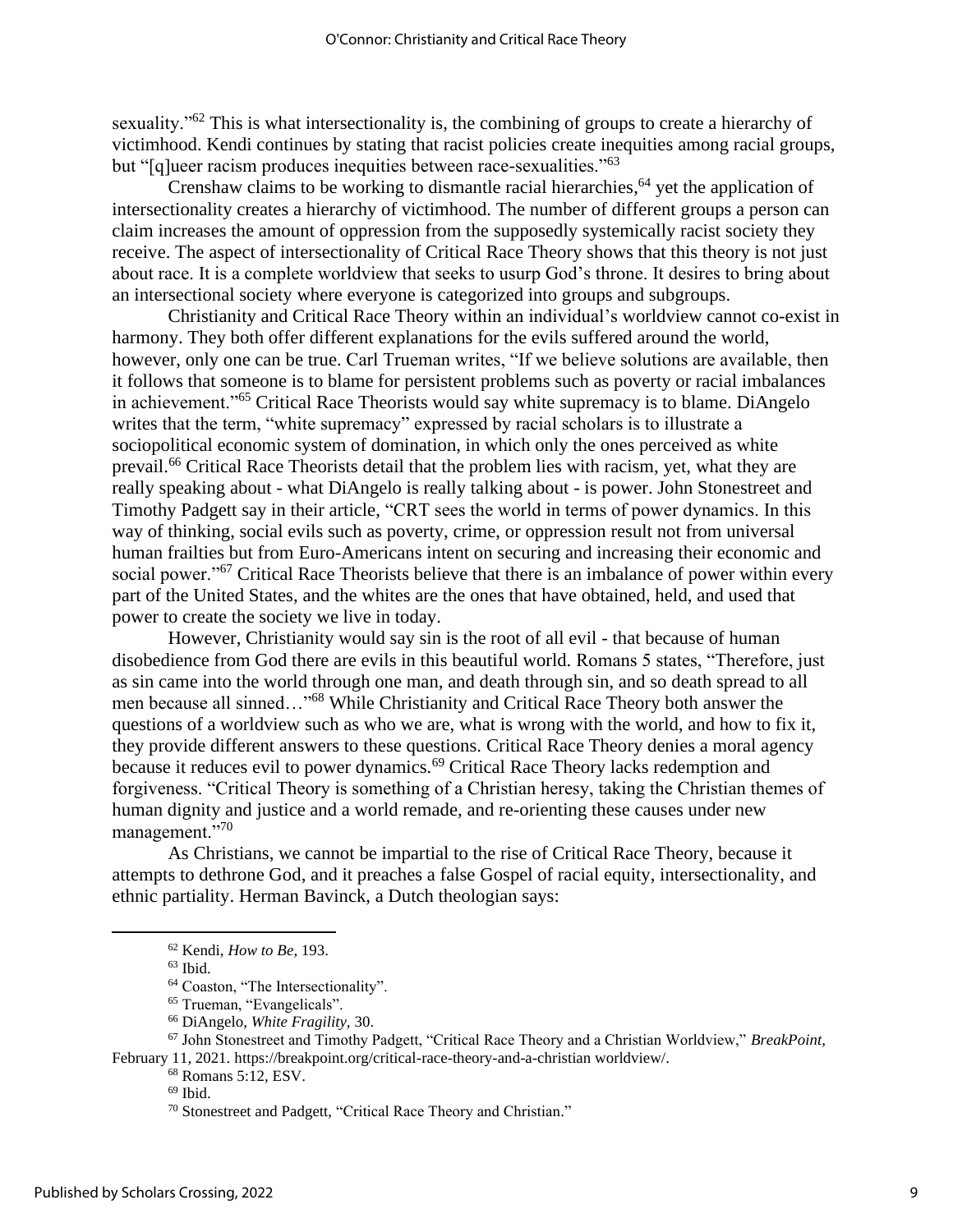sexuality."<sup>62</sup> This is what intersectionality is, the combining of groups to create a hierarchy of victimhood. Kendi continues by stating that racist policies create inequities among racial groups, but "[q]ueer racism produces inequities between race-sexualities."<sup>63</sup>

Crenshaw claims to be working to dismantle racial hierarchies, <sup>64</sup> yet the application of intersectionality creates a hierarchy of victimhood. The number of different groups a person can claim increases the amount of oppression from the supposedly systemically racist society they receive. The aspect of intersectionality of Critical Race Theory shows that this theory is not just about race. It is a complete worldview that seeks to usurp God's throne. It desires to bring about an intersectional society where everyone is categorized into groups and subgroups.

Christianity and Critical Race Theory within an individual's worldview cannot co-exist in harmony. They both offer different explanations for the evils suffered around the world, however, only one can be true. Carl Trueman writes, "If we believe solutions are available, then it follows that someone is to blame for persistent problems such as poverty or racial imbalances in achievement."<sup>65</sup> Critical Race Theorists would say white supremacy is to blame. DiAngelo writes that the term, "white supremacy" expressed by racial scholars is to illustrate a sociopolitical economic system of domination, in which only the ones perceived as white prevail.<sup>66</sup> Critical Race Theorists detail that the problem lies with racism, yet, what they are really speaking about - what DiAngelo is really talking about - is power. John Stonestreet and Timothy Padgett say in their article, "CRT sees the world in terms of power dynamics. In this way of thinking, social evils such as poverty, crime, or oppression result not from universal human frailties but from Euro-Americans intent on securing and increasing their economic and social power."<sup>67</sup> Critical Race Theorists believe that there is an imbalance of power within every part of the United States, and the whites are the ones that have obtained, held, and used that power to create the society we live in today.

However, Christianity would say sin is the root of all evil - that because of human disobedience from God there are evils in this beautiful world. Romans 5 states, "Therefore, just as sin came into the world through one man, and death through sin, and so death spread to all men because all sinned…"<sup>68</sup> While Christianity and Critical Race Theory both answer the questions of a worldview such as who we are, what is wrong with the world, and how to fix it, they provide different answers to these questions. Critical Race Theory denies a moral agency because it reduces evil to power dynamics.<sup>69</sup> Critical Race Theory lacks redemption and forgiveness. "Critical Theory is something of a Christian heresy, taking the Christian themes of human dignity and justice and a world remade, and re-orienting these causes under new management."<sup>70</sup>

As Christians, we cannot be impartial to the rise of Critical Race Theory, because it attempts to dethrone God, and it preaches a false Gospel of racial equity, intersectionality, and ethnic partiality. Herman Bavinck, a Dutch theologian says:

<sup>67</sup> John Stonestreet and Timothy Padgett, "Critical Race Theory and a Christian Worldview," *BreakPoint,*  February 11, 2021. https://breakpoint.org/critical-race-theory-and-a-christian worldview/.

<sup>68</sup> Romans 5:12, ESV.

<sup>70</sup> Stonestreet and Padgett, "Critical Race Theory and Christian."

<sup>62</sup> Kendi, *How to Be*, 193.

<sup>63</sup> Ibid.

<sup>64</sup> Coaston, "The Intersectionality".

<sup>65</sup> Trueman, "Evangelicals".

<sup>66</sup> DiAngelo, *White Fragility,* 30.

 $69$  Ibid.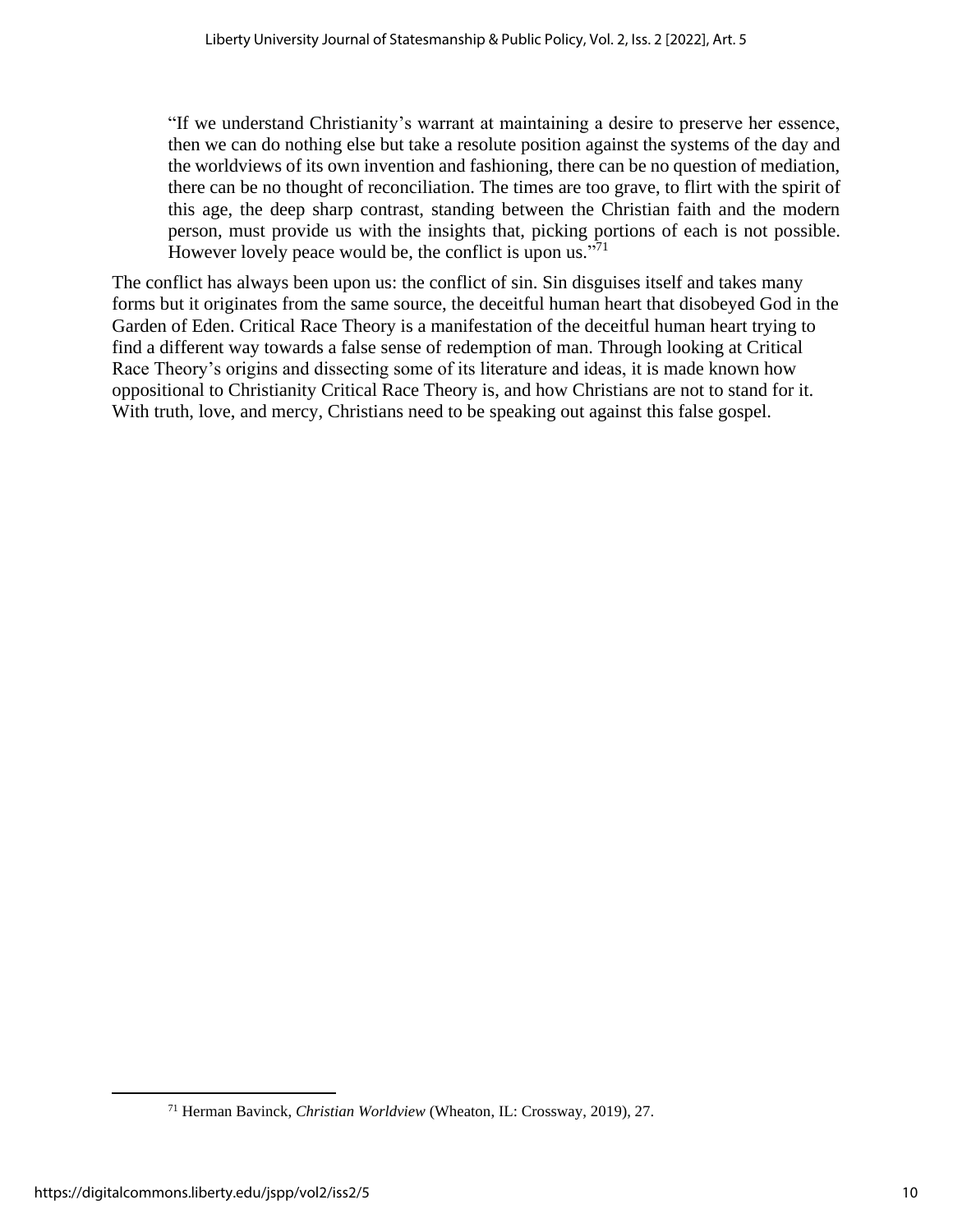"If we understand Christianity's warrant at maintaining a desire to preserve her essence, then we can do nothing else but take a resolute position against the systems of the day and the worldviews of its own invention and fashioning, there can be no question of mediation, there can be no thought of reconciliation. The times are too grave, to flirt with the spirit of this age, the deep sharp contrast, standing between the Christian faith and the modern person, must provide us with the insights that, picking portions of each is not possible. However lovely peace would be, the conflict is upon us."<sup>71</sup>

The conflict has always been upon us: the conflict of sin. Sin disguises itself and takes many forms but it originates from the same source, the deceitful human heart that disobeyed God in the Garden of Eden. Critical Race Theory is a manifestation of the deceitful human heart trying to find a different way towards a false sense of redemption of man. Through looking at Critical Race Theory's origins and dissecting some of its literature and ideas, it is made known how oppositional to Christianity Critical Race Theory is, and how Christians are not to stand for it. With truth, love, and mercy, Christians need to be speaking out against this false gospel.

<sup>71</sup> Herman Bavinck, *Christian Worldview* (Wheaton, IL: Crossway, 2019), 27.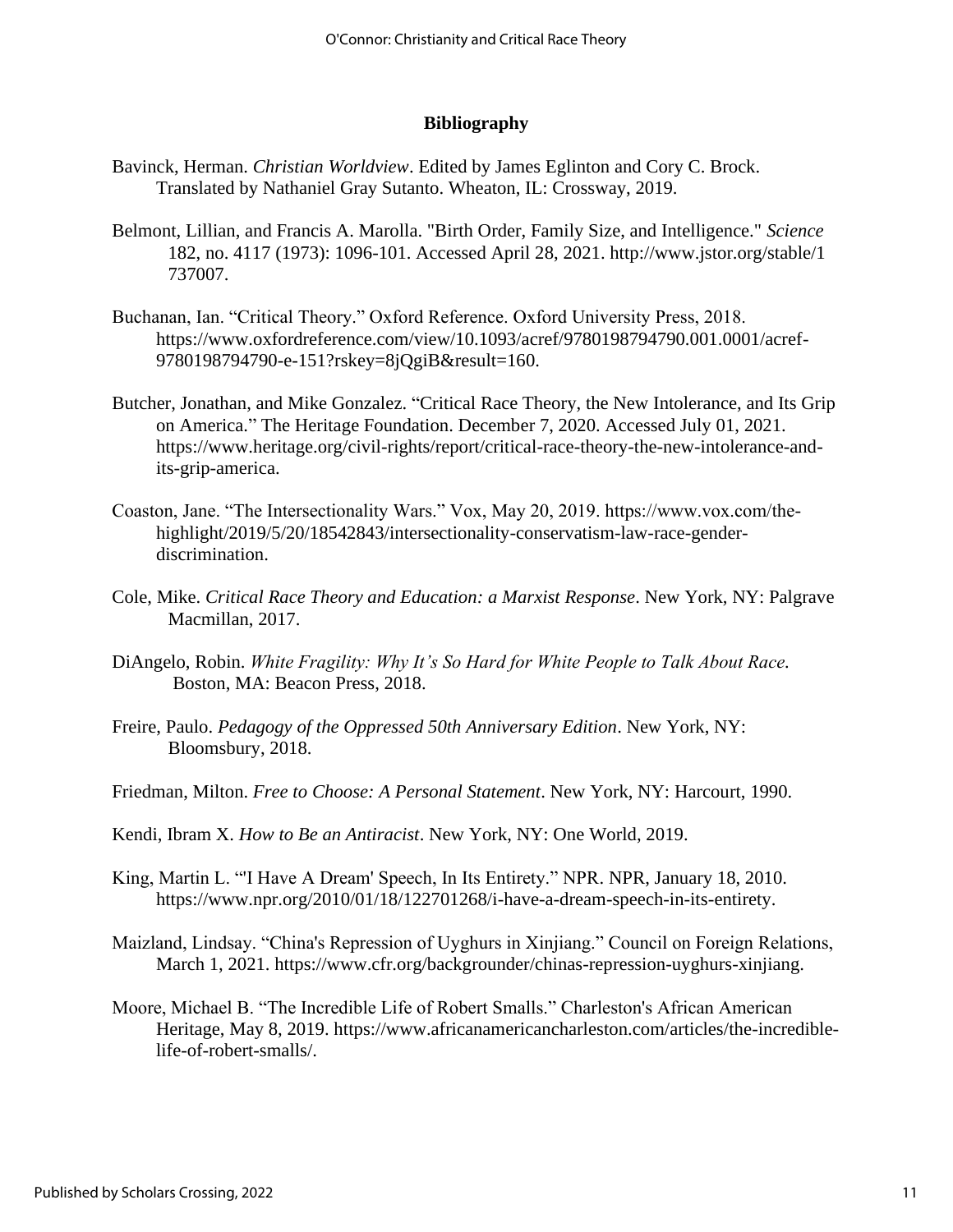# **Bibliography**

- Bavinck, Herman. *Christian Worldview*. Edited by James Eglinton and Cory C. Brock. Translated by Nathaniel Gray Sutanto. Wheaton, IL: Crossway, 2019.
- Belmont, Lillian, and Francis A. Marolla. "Birth Order, Family Size, and Intelligence." *Science* 182, no. 4117 (1973): 1096-101. Accessed April 28, 2021. http://www.jstor.org/stable/1 737007.
- Buchanan, Ian. "Critical Theory." Oxford Reference. Oxford University Press, 2018. https://www.oxfordreference.com/view/10.1093/acref/9780198794790.001.0001/acref-9780198794790-e-151?rskey=8jQgiB&result=160.
- Butcher, Jonathan, and Mike Gonzalez. "Critical Race Theory, the New Intolerance, and Its Grip on America." The Heritage Foundation. December 7, 2020. Accessed July 01, 2021. https://www.heritage.org/civil-rights/report/critical-race-theory-the-new-intolerance-andits-grip-america.
- Coaston, Jane. "The Intersectionality Wars." Vox, May 20, 2019. https://www.vox.com/thehighlight/2019/5/20/18542843/intersectionality-conservatism-law-race-genderdiscrimination.
- Cole, Mike. *Critical Race Theory and Education: a Marxist Response*. New York, NY: Palgrave Macmillan, 2017.
- DiAngelo, Robin. *White Fragility: Why It's So Hard for White People to Talk About Race.* Boston, MA: Beacon Press, 2018.
- Freire, Paulo. *Pedagogy of the Oppressed 50th Anniversary Edition*. New York, NY: Bloomsbury, 2018.
- Friedman, Milton. *Free to Choose: A Personal Statement*. New York, NY: Harcourt, 1990.
- Kendi, Ibram X. *How to Be an Antiracist*. New York, NY: One World, 2019.
- King, Martin L. "'I Have A Dream' Speech, In Its Entirety." NPR. NPR, January 18, 2010. https://www.npr.org/2010/01/18/122701268/i-have-a-dream-speech-in-its-entirety.
- Maizland, Lindsay. "China's Repression of Uyghurs in Xinjiang." Council on Foreign Relations, March 1, 2021. https://www.cfr.org/backgrounder/chinas-repression-uyghurs-xinjiang.
- Moore, Michael B. "The Incredible Life of Robert Smalls." Charleston's African American Heritage, May 8, 2019. https://www.africanamericancharleston.com/articles/the-incrediblelife-of-robert-smalls/.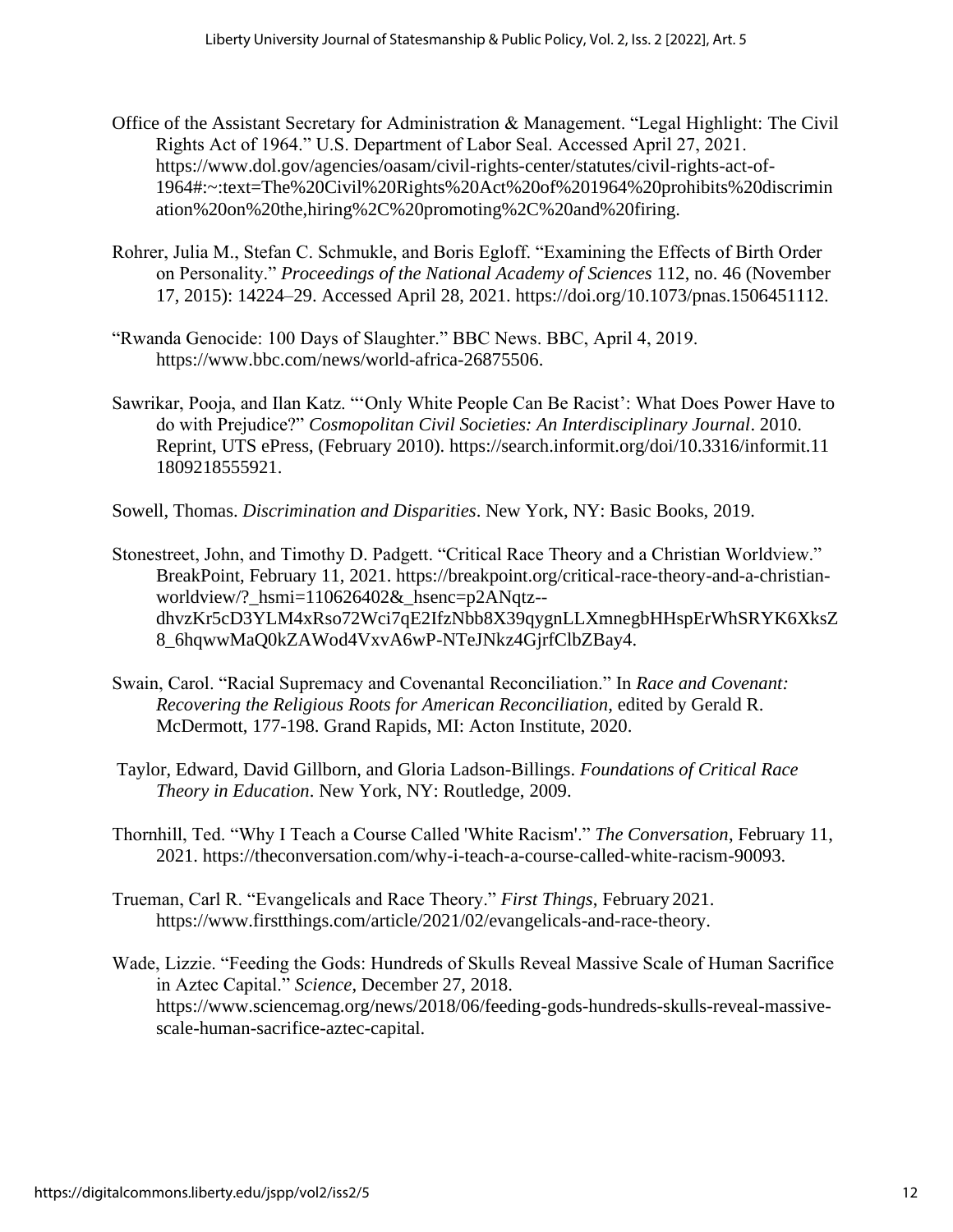- Office of the Assistant Secretary for Administration & Management. "Legal Highlight: The Civil Rights Act of 1964." U.S. Department of Labor Seal. Accessed April 27, 2021. https://www.dol.gov/agencies/oasam/civil-rights-center/statutes/civil-rights-act-of-1964#:~:text=The%20Civil%20Rights%20Act%20of%201964%20prohibits%20discrimin ation%20on%20the,hiring%2C%20promoting%2C%20and%20firing.
- Rohrer, Julia M., Stefan C. Schmukle, and Boris Egloff. "Examining the Effects of Birth Order on Personality." *Proceedings of the National Academy of Sciences* 112, no. 46 (November 17, 2015): 14224–29. Accessed April 28, 2021. https://doi.org/10.1073/pnas.1506451112.
- "Rwanda Genocide: 100 Days of Slaughter." BBC News. BBC, April 4, 2019. https://www.bbc.com/news/world-africa-26875506.
- Sawrikar, Pooja, and Ilan Katz. "'Only White People Can Be Racist': What Does Power Have to do with Prejudice?" *Cosmopolitan Civil Societies: An Interdisciplinary Journal*. 2010. Reprint, UTS ePress, (February 2010). https://search.informit.org/doi/10.3316/informit.11 1809218555921.
- Sowell, Thomas. *Discrimination and Disparities*. New York, NY: Basic Books, 2019.
- Stonestreet, John, and Timothy D. Padgett. "Critical Race Theory and a Christian Worldview." BreakPoint, February 11, 2021. https://breakpoint.org/critical-race-theory-and-a-christianworldview/?\_hsmi=110626402&\_hsenc=p2ANqtz- dhvzKr5cD3YLM4xRso72Wci7qE2IfzNbb8X39qygnLLXmnegbHHspErWhSRYK6XksZ 8\_6hqwwMaQ0kZAWod4VxvA6wP-NTeJNkz4GjrfClbZBay4.
- Swain, Carol. "Racial Supremacy and Covenantal Reconciliation." In *Race and Covenant: Recovering the Religious Roots for American Reconciliation,* edited by Gerald R. McDermott, 177-198. Grand Rapids, MI: Acton Institute, 2020.
- Taylor, Edward, David Gillborn, and Gloria Ladson-Billings. *Foundations of Critical Race Theory in Education*. New York, NY: Routledge, 2009.
- Thornhill, Ted. "Why I Teach a Course Called 'White Racism'." *The Conversation*, February 11, 2021. https://theconversation.com/why-i-teach-a-course-called-white-racism-90093.
- Trueman, Carl R. "Evangelicals and Race Theory." *First Things*, February 2021. https://www.firstthings.com/article/2021/02/evangelicals-and-race-theory.
- Wade, Lizzie. "Feeding the Gods: Hundreds of Skulls Reveal Massive Scale of Human Sacrifice in Aztec Capital." *Science*, December 27, 2018. https://www.sciencemag.org/news/2018/06/feeding-gods-hundreds-skulls-reveal-massivescale-human-sacrifice-aztec-capital.